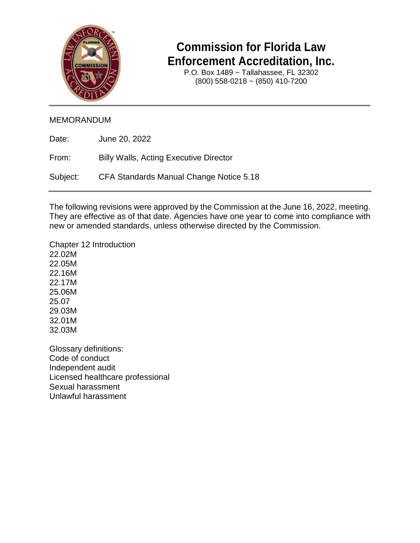

# **Commission for Florida Law Enforcement Accreditation, Inc.**

P.O. Box 1489 ~ Tallahassee, FL 32302 (800) 558-0218 ~ (850) 410-7200

#### MEMORANDUM

| Date:    | June 20, 2022                                 |
|----------|-----------------------------------------------|
| From:    | <b>Billy Walls, Acting Executive Director</b> |
| Subject: | CFA Standards Manual Change Notice 5.18       |

The following revisions were approved by the Commission at the June 16, 2022, meeting. They are effective as of that date. Agencies have one year to come into compliance with new or amended standards, unless otherwise directed by the Commission.

Chapter 12 Introduction 22.02M 22.05M 22.16M 22.17M 25.06M 25.07 29.03M 32.01M 32.03M

Glossary definitions: Code of conduct Independent audit Licensed healthcare professional Sexual harassment Unlawful harassment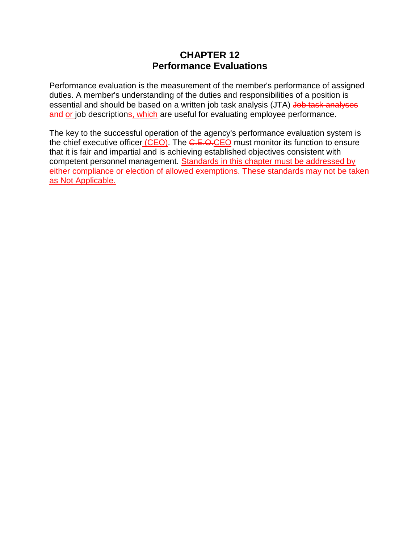# **CHAPTER 12 Performance Evaluations**

Performance evaluation is the measurement of the member's performance of assigned duties. A member's understanding of the duties and responsibilities of a position is essential and should be based on a written job task analysis (JTA) Job task analyses and or job descriptions, which are useful for evaluating employee performance.

The key to the successful operation of the agency's performance evaluation system is the chief executive officer (CEO). The C.E.O.CEO must monitor its function to ensure that it is fair and impartial and is achieving established objectives consistent with competent personnel management. Standards in this chapter must be addressed by either compliance or election of allowed exemptions. These standards may not be taken as Not Applicable.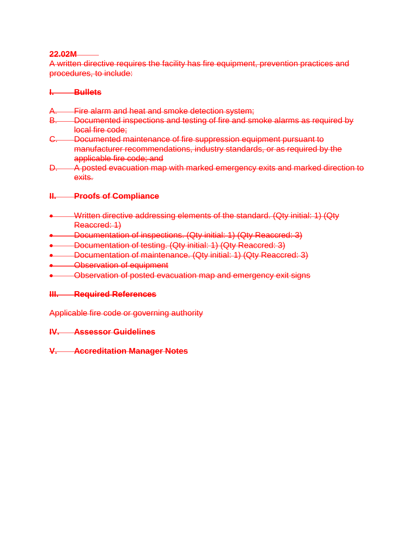#### **22.02M**

A written directive requires the facility has fire equipment, prevention practices and procedures, to include:

## **I. Bullets**

- A. Fire alarm and heat and smoke detection system;
- B. Documented inspections and testing of fire and smoke alarms as required by local fire code;
- C. Documented maintenance of fire suppression equipment pursuant to manufacturer recommendations, industry standards, or as required by the applicable fire code; and
- D. A posted evacuation map with marked emergency exits and marked direction to exits.

## **II. Proofs of Compliance**

- Written directive addressing elements of the standard. (Qty initial: 1) (Qty Reaccred: 1)
- Documentation of inspections. (Qty initial: 1) (Qty Reaccred: 3)
- Documentation of testing. (Qty initial: 1) (Qty Reaccred: 3)
- Documentation of maintenance. (Qty initial: 1) (Qty Reaccred: 3)
- Observation of equipment
- Observation of posted evacuation map and emergency exit signs

#### **III. Required References**

Applicable fire code or governing authority

#### **IV. Assessor Guidelines**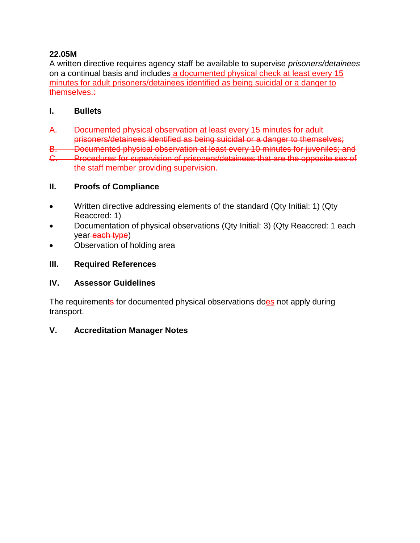## **22.05M**

A written directive requires agency staff be available to supervise *prisoners/detainees* on a continual basis and includes a documented physical check at least every 15 minutes for adult prisoners/detainees identified as being suicidal or a danger to themselves.:

## **I. Bullets**

- A. Documented physical observation at least every 15 minutes for adult prisoners/detainees identified as being suicidal or a danger to themselves;
- B. Documented physical observation at least every 10 minutes for juveniles; and C. Procedures for supervision of prisoners/detainees that are the opposite sex of the staff member providing supervision.

## **II. Proofs of Compliance**

- Written directive addressing elements of the standard (Qty Initial: 1) (Qty Reaccred: 1)
- Documentation of physical observations (Qty Initial: 3) (Qty Reaccred: 1 each year-each type)
- Observation of holding area

# **III. Required References**

## **IV. Assessor Guidelines**

The requirements for documented physical observations does not apply during transport.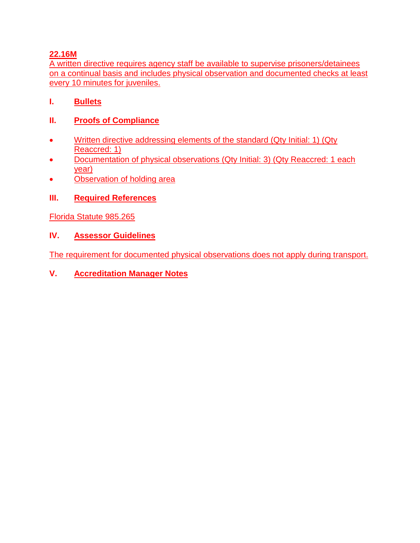# **22.16M**

A written directive requires agency staff be available to supervise prisoners/detainees on a continual basis and includes physical observation and documented checks at least every 10 minutes for juveniles.

**I. Bullets**

# **II. Proofs of Compliance**

- Written directive addressing elements of the standard (Qty Initial: 1) (Qty Reaccred: 1)
- Documentation of physical observations (Qty Initial: 3) (Qty Reaccred: 1 each year)
- **Observation of holding area**

# **III. Required References**

Florida Statute 985.265

#### **IV. Assessor Guidelines**

The requirement for documented physical observations does not apply during transport.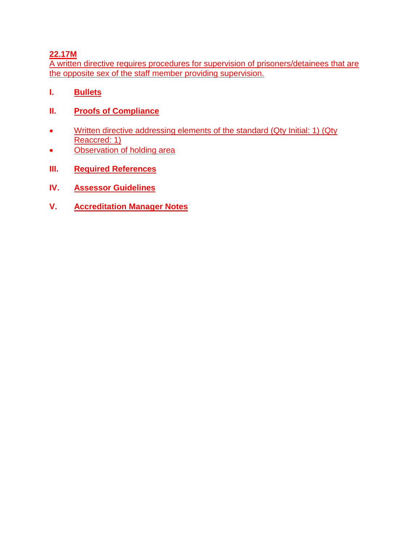# **22.17M**

A written directive requires procedures for supervision of prisoners/detainees that are the opposite sex of the staff member providing supervision.

- **I. Bullets**
- **II. Proofs of Compliance**
- Written directive addressing elements of the standard (Qty Initial: 1) (Qty Reaccred: 1)
- Observation of holding area
- **III. Required References**
- **IV. Assessor Guidelines**
- **V. Accreditation Manager Notes**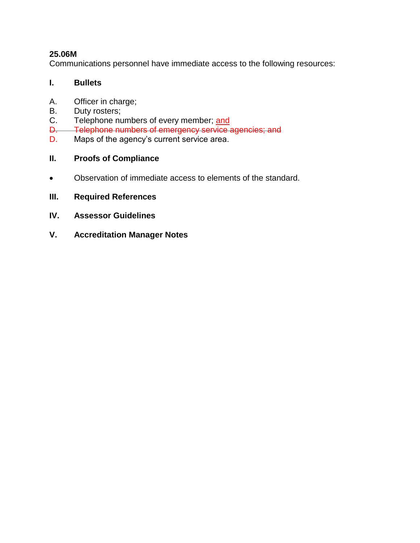### **25.06M**

Communications personnel have immediate access to the following resources:

#### **I. Bullets**

- A. Officer in charge;
- B. Duty rosters;
- C. Telephone numbers of every member; and
- D. Telephone numbers of emergency service agencies; and
- D. Maps of the agency's current service area.

# **II. Proofs of Compliance**

- Observation of immediate access to elements of the standard.
- **III. Required References**
- **IV. Assessor Guidelines**
- **V. Accreditation Manager Notes**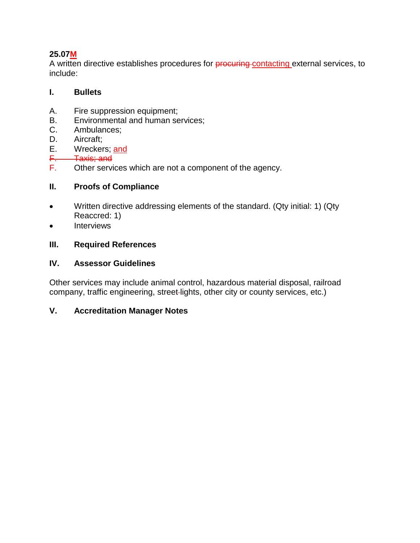## **25.07M**

A written directive establishes procedures for **procuring contacting** external services, to include:

#### **I. Bullets**

- A. Fire suppression equipment;
- B. Environmental and human services;
- C. Ambulances;
- D. Aircraft;
- E. Wreckers; and
- F. Taxis; and
- F. Other services which are not a component of the agency.

#### **II. Proofs of Compliance**

- Written directive addressing elements of the standard. (Qty initial: 1) (Qty Reaccred: 1)
- Interviews

## **III. Required References**

#### **IV. Assessor Guidelines**

Other services may include animal control, hazardous material disposal, railroad company, traffic engineering, street lights, other city or county services, etc.)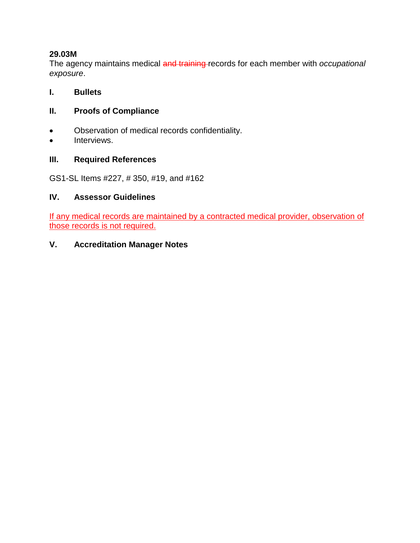## **29.03M**

The agency maintains medical and training records for each member with *occupational exposure*.

#### **I. Bullets**

## **II. Proofs of Compliance**

- Observation of medical records confidentiality.
- Interviews.

#### **III. Required References**

GS1-SL Items #227, # 350, #19, and #162

#### **IV. Assessor Guidelines**

If any medical records are maintained by a contracted medical provider, observation of those records is not required.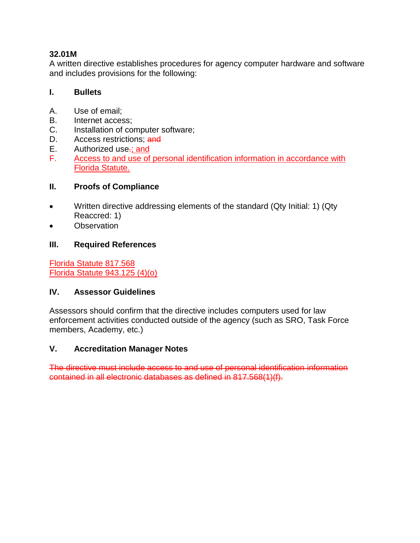# **32.01M**

A written directive establishes procedures for agency computer hardware and software and includes provisions for the following:

## **I. Bullets**

- A. Use of email;
- B. Internet access;
- C. Installation of computer software;
- D. Access restrictions; and
- E. Authorized use<sub>r</sub>; and
- F. Access to and use of personal identification information in accordance with Florida Statute.

# **II. Proofs of Compliance**

- Written directive addressing elements of the standard (Qty Initial: 1) (Qty Reaccred: 1)
- **Observation**

# **III. Required References**

Florida Statute 817.568 Florida Statute 943.125 (4)(o)

## **IV. Assessor Guidelines**

Assessors should confirm that the directive includes computers used for law enforcement activities conducted outside of the agency (such as SRO, Task Force members, Academy, etc.)

# **V. Accreditation Manager Notes**

The directive must include access to and use of personal identification information contained in all electronic databases as defined in 817.568(1)(f).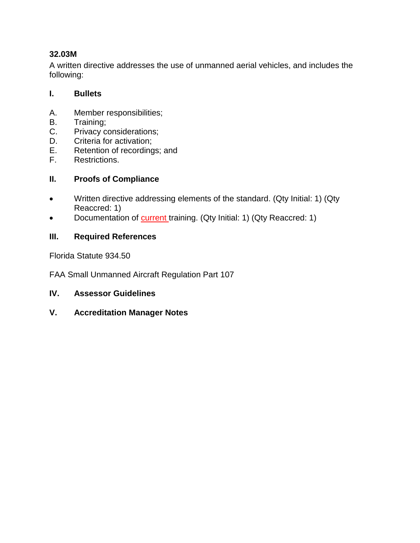# **32.03M**

A written [directive](javascript:standardsMaster.SelectTreeNode(8550431);) addresses the use of unmanned aerial vehicles, and includes the following:

## **I. Bullets**

- A. [Member](javascript:standardsMaster.SelectTreeNode(8550462);) responsibilities;
- B. Training;
- C. Privacy considerations;
- D. [Criteria](javascript:standardsMaster.SelectTreeNode(8550427);) for activation;
- E. Retention of recordings; and
- F. Restrictions.

# **II. Proofs of [Compliance](javascript:standardsMaster.SelectTreeNode(8550420);)**

- Written [directive](javascript:standardsMaster.SelectTreeNode(8550431);) addressing elements of the standard. (Qty Initial: 1) (Qty Reaccred: 1)
- Documentation of current training. (Qty Initial: 1) (Qty Reaccred: 1)

# **III. Required References**

Florida Statute 934.50

FAA Small Unmanned Aircraft Regulation Part 107

- **IV. Assessor [Guidelines](javascript:standardsMaster.SelectTreeNode(8550443);)**
- **V. [Accreditation](javascript:standardsMaster.SelectTreeNode(8550402);) Manager Notes**